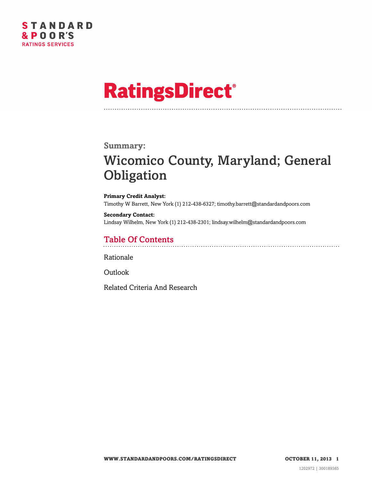

# **RatingsDirect®**

#### **Summary:**

## Wicomico County, Maryland; General **Obligation**

**Primary Credit Analyst:** Timothy W Barrett, New York (1) 212-438-6327; timothy.barrett@standardandpoors.com

**Secondary Contact:** Lindsay Wilhelm, New York (1) 212-438-2301; lindsay.wilhelm@standardandpoors.com

## Table Of Contents

[Rationale](#page-1-0)

[Outlook](#page-4-0)

[Related Criteria And Research](#page-4-1)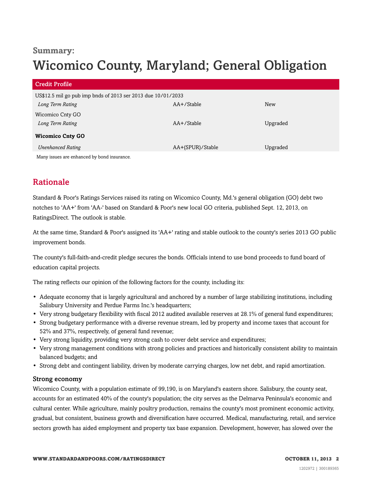### **Summary:**

## Wicomico County, Maryland; General Obligation

| <b>Credit Profile</b>                                                            |                  |            |
|----------------------------------------------------------------------------------|------------------|------------|
| US\$12.5 mil go pub imp bnds of 2013 ser 2013 due 10/01/2033<br>Long Term Rating | AA+/Stable       | <b>New</b> |
| Wicomico Cnty GO<br>Long Term Rating                                             | AA+/Stable       | Upgraded   |
| <b>Wicomico Cnty GO</b>                                                          |                  |            |
| <b>Unenhanced Rating</b>                                                         | AA+(SPUR)/Stable | Upgraded   |
| Montinguog are exhanged by hand incurance                                        |                  |            |

Many issues are enhanced by bond insurance.

## <span id="page-1-0"></span>Rationale

Standard & Poor's Ratings Services raised its rating on Wicomico County, Md.'s general obligation (GO) debt two notches to 'AA+' from 'AA-' based on Standard & Poor's new local GO criteria, published Sept. 12, 2013, on RatingsDirect. The outlook is stable.

At the same time, Standard & Poor's assigned its 'AA+' rating and stable outlook to the county's series 2013 GO public improvement bonds.

The county's full-faith-and-credit pledge secures the bonds. Officials intend to use bond proceeds to fund board of education capital projects.

The rating reflects our opinion of the following factors for the county, including its:

- Adequate economy that is largely agricultural and anchored by a number of large stabilizing institutions, including Salisbury University and Perdue Farms Inc.'s headquarters;
- Very strong budgetary flexibility with fiscal 2012 audited available reserves at 28.1% of general fund expenditures;
- Strong budgetary performance with a diverse revenue stream, led by property and income taxes that account for 52% and 37%, respectively, of general fund revenue;
- Very strong liquidity, providing very strong cash to cover debt service and expenditures;
- Very strong management conditions with strong policies and practices and historically consistent ability to maintain balanced budgets; and
- Strong debt and contingent liability, driven by moderate carrying charges, low net debt, and rapid amortization.

#### Strong economy

Wicomico County, with a population estimate of 99,190, is on Maryland's eastern shore. Salisbury, the county seat, accounts for an estimated 40% of the county's population; the city serves as the Delmarva Peninsula's economic and cultural center. While agriculture, mainly poultry production, remains the county's most prominent economic activity, gradual, but consistent, business growth and diversification have occurred. Medical, manufacturing, retail, and service sectors growth has aided employment and property tax base expansion. Development, however, has slowed over the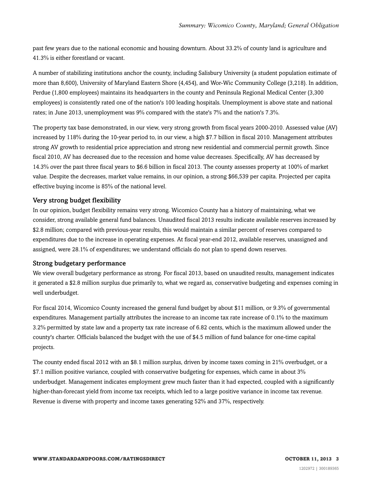past few years due to the national economic and housing downturn. About 33.2% of county land is agriculture and 41.3% is either forestland or vacant.

A number of stabilizing institutions anchor the county, including Salisbury University (a student population estimate of more than 8,600), University of Maryland Eastern Shore (4,454), and Wor-Wic Community College (3,218). In addition, Perdue (1,800 employees) maintains its headquarters in the county and Peninsula Regional Medical Center (3,300 employees) is consistently rated one of the nation's 100 leading hospitals. Unemployment is above state and national rates; in June 2013, unemployment was 9% compared with the state's 7% and the nation's 7.3%.

The property tax base demonstrated, in our view, very strong growth from fiscal years 2000-2010. Assessed value (AV) increased by 118% during the 10-year period to, in our view, a high \$7.7 billion in fiscal 2010. Management attributes strong AV growth to residential price appreciation and strong new residential and commercial permit growth. Since fiscal 2010, AV has decreased due to the recession and home value decreases. Specifically, AV has decreased by 14.3% over the past three fiscal years to \$6.6 billion in fiscal 2013. The county assesses property at 100% of market value. Despite the decreases, market value remains, in our opinion, a strong \$66,539 per capita. Projected per capita effective buying income is 85% of the national level.

#### Very strong budget flexibility

In our opinion, budget flexibility remains very strong. Wicomico County has a history of maintaining, what we consider, strong available general fund balances. Unaudited fiscal 2013 results indicate available reserves increased by \$2.8 million; compared with previous-year results, this would maintain a similar percent of reserves compared to expenditures due to the increase in operating expenses. At fiscal year-end 2012, available reserves, unassigned and assigned, were 28.1% of expenditures; we understand officials do not plan to spend down reserves.

#### Strong budgetary performance

We view overall budgetary performance as strong. For fiscal 2013, based on unaudited results, management indicates it generated a \$2.8 million surplus due primarily to, what we regard as, conservative budgeting and expenses coming in well underbudget.

For fiscal 2014, Wicomico County increased the general fund budget by about \$11 million, or 9.3% of governmental expenditures. Management partially attributes the increase to an income tax rate increase of 0.1% to the maximum 3.2% permitted by state law and a property tax rate increase of 6.82 cents, which is the maximum allowed under the county's charter. Officials balanced the budget with the use of \$4.5 million of fund balance for one-time capital projects.

The county ended fiscal 2012 with an \$8.1 million surplus, driven by income taxes coming in 21% overbudget, or a \$7.1 million positive variance, coupled with conservative budgeting for expenses, which came in about 3% underbudget. Management indicates employment grew much faster than it had expected, coupled with a significantly higher-than-forecast yield from income tax receipts, which led to a large positive variance in income tax revenue. Revenue is diverse with property and income taxes generating 52% and 37%, respectively.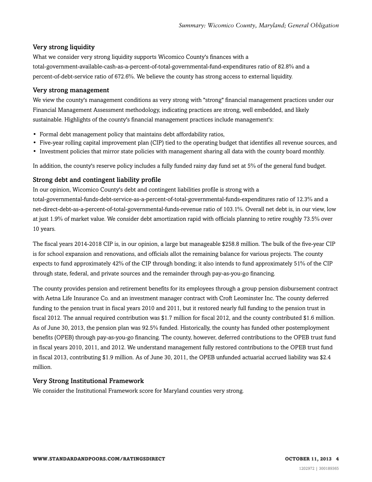#### Very strong liquidity

What we consider very strong liquidity supports Wicomico County's finances with a total-government-available-cash-as-a-percent-of-total-governmental-fund-expenditures ratio of 82.8% and a percent-of-debt-service ratio of 672.6%. We believe the county has strong access to external liquidity.

#### Very strong management

We view the county's management conditions as very strong with "strong" financial management practices under our Financial Management Assessment methodology, indicating practices are strong, well embedded, and likely sustainable. Highlights of the county's financial management practices include management's:

- Formal debt management policy that maintains debt affordability ratios,
- Five-year rolling capital improvement plan (CIP) tied to the operating budget that identifies all revenue sources, and
- Investment policies that mirror state policies with management sharing all data with the county board monthly.

In addition, the county's reserve policy includes a fully funded rainy day fund set at 5% of the general fund budget.

#### Strong debt and contingent liability profile

In our opinion, Wicomico County's debt and contingent liabilities profile is strong with a total-governmental-funds-debt-service-as-a-percent-of-total-governmental-funds-expenditures ratio of 12.3% and a net-direct-debt-as-a-percent-of-total-governmental-funds-revenue ratio of 103.1%. Overall net debt is, in our view, low at just 1.9% of market value. We consider debt amortization rapid with officials planning to retire roughly 73.5% over 10 years.

The fiscal years 2014-2018 CIP is, in our opinion, a large but manageable \$258.8 million. The bulk of the five-year CIP is for school expansion and renovations, and officials allot the remaining balance for various projects. The county expects to fund approximately 42% of the CIP through bonding; it also intends to fund approximately 51% of the CIP through state, federal, and private sources and the remainder through pay-as-you-go financing.

The county provides pension and retirement benefits for its employees through a group pension disbursement contract with Aetna Life Insurance Co. and an investment manager contract with Croft Leominster Inc. The county deferred funding to the pension trust in fiscal years 2010 and 2011, but it restored nearly full funding to the pension trust in fiscal 2012. The annual required contribution was \$1.7 million for fiscal 2012, and the county contributed \$1.6 million. As of June 30, 2013, the pension plan was 92.5% funded. Historically, the county has funded other postemployment benefits (OPEB) through pay-as-you-go financing. The county, however, deferred contributions to the OPEB trust fund in fiscal years 2010, 2011, and 2012. We understand management fully restored contributions to the OPEB trust fund in fiscal 2013, contributing \$1.9 million. As of June 30, 2011, the OPEB unfunded actuarial accrued liability was \$2.4 million.

#### Very Strong Institutional Framework

We consider the Institutional Framework score for Maryland counties very strong.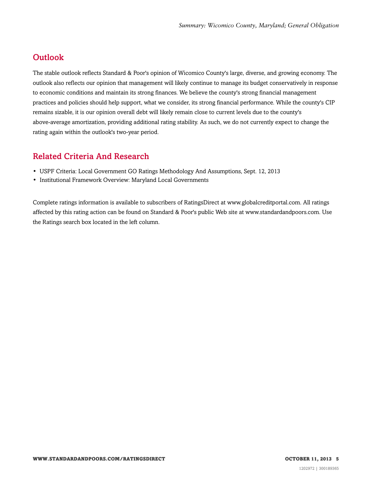## <span id="page-4-0"></span>**Outlook**

The stable outlook reflects Standard & Poor's opinion of Wicomico County's large, diverse, and growing economy. The outlook also reflects our opinion that management will likely continue to manage its budget conservatively in response to economic conditions and maintain its strong finances. We believe the county's strong financial management practices and policies should help support, what we consider, its strong financial performance. While the county's CIP remains sizable, it is our opinion overall debt will likely remain close to current levels due to the county's above-average amortization, providing additional rating stability. As such, we do not currently expect to change the rating again within the outlook's two-year period.

## <span id="page-4-1"></span>Related Criteria And Research

- USPF Criteria: Local Government GO Ratings Methodology And Assumptions, Sept. 12, 2013
- Institutional Framework Overview: Maryland Local Governments

Complete ratings information is available to subscribers of RatingsDirect at www.globalcreditportal.com. All ratings affected by this rating action can be found on Standard & Poor's public Web site at www.standardandpoors.com. Use the Ratings search box located in the left column.